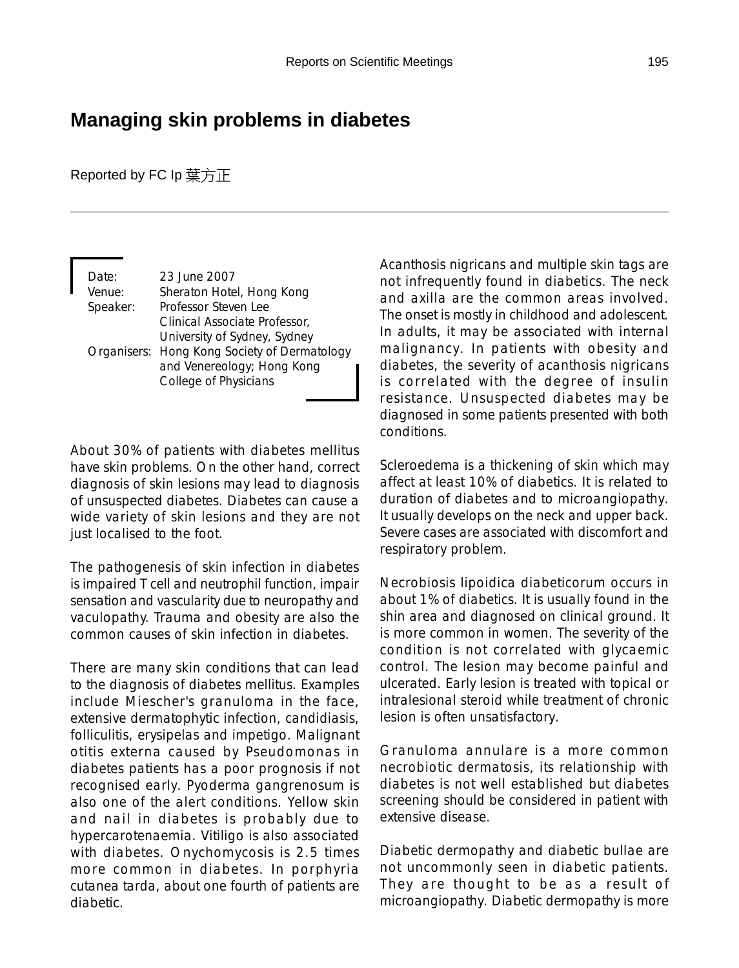## **Managing skin problems in diabetes**

Reported by FC lp 葉方正

| Date:    | 23 June 2007                                 |
|----------|----------------------------------------------|
| Venue:   | Sheraton Hotel, Hong Kong                    |
| Speaker: | Professor Steven Lee                         |
|          | Clinical Associate Professor,                |
|          | University of Sydney, Sydney                 |
|          | Organisers: Hong Kong Society of Dermatology |
|          | and Venereology; Hong Kong                   |
|          | College of Physicians                        |

About 30% of patients with diabetes mellitus have skin problems. On the other hand, correct diagnosis of skin lesions may lead to diagnosis of unsuspected diabetes. Diabetes can cause a wide variety of skin lesions and they are not just localised to the foot.

The pathogenesis of skin infection in diabetes is impaired T cell and neutrophil function, impair sensation and vascularity due to neuropathy and vaculopathy. Trauma and obesity are also the common causes of skin infection in diabetes.

There are many skin conditions that can lead to the diagnosis of diabetes mellitus. Examples include Miescher's granuloma in the face, extensive dermatophytic infection, candidiasis, folliculitis, erysipelas and impetigo. Malignant otitis externa caused by Pseudomonas in diabetes patients has a poor prognosis if not recognised early. Pyoderma gangrenosum is also one of the alert conditions. Yellow skin and nail in diabetes is probably due to hypercarotenaemia. Vitiligo is also associated with diabetes. Onychomycosis is 2.5 times more common in diabetes. In porphyria cutanea tarda, about one fourth of patients are diabetic.

Acanthosis nigricans and multiple skin tags are not infrequently found in diabetics. The neck and axilla are the common areas involved. The onset is mostly in childhood and adolescent. In adults, it may be associated with internal malignancy. In patients with obesity and diabetes, the severity of acanthosis nigricans is correlated with the degree of insulin resistance. Unsuspected diabetes may be diagnosed in some patients presented with both conditions.

Scleroedema is a thickening of skin which may affect at least 10% of diabetics. It is related to duration of diabetes and to microangiopathy. It usually develops on the neck and upper back. Severe cases are associated with discomfort and respiratory problem.

Necrobiosis lipoidica diabeticorum occurs in about 1% of diabetics. It is usually found in the shin area and diagnosed on clinical ground. It is more common in women. The severity of the condition is not correlated with glycaemic control. The lesion may become painful and ulcerated. Early lesion is treated with topical or intralesional steroid while treatment of chronic lesion is often unsatisfactory.

Granuloma annulare is a more common necrobiotic dermatosis, its relationship with diabetes is not well established but diabetes screening should be considered in patient with extensive disease.

Diabetic dermopathy and diabetic bullae are not uncommonly seen in diabetic patients. They are thought to be as a result of microangiopathy. Diabetic dermopathy is more